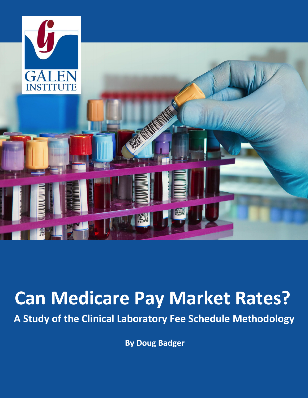

# **Can Medicare Pay Market Rates?**

**A Study of the Clinical Laboratory Fee Schedule Methodology**

**By Doug Badger**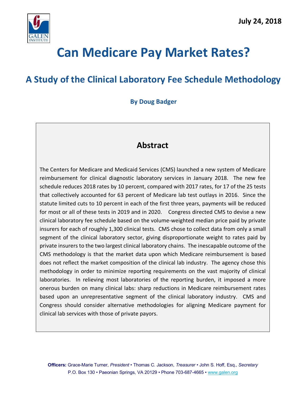

## **Can Medicare Pay Market Rates?**

## **A Study of the Clinical Laboratory Fee Schedule Methodology**

### **By Doug Badger**

## **Abstract**

The Centers for Medicare and Medicaid Services (CMS) launched a new system of Medicare reimbursement for clinical diagnostic laboratory services in January 2018. The new fee schedule reduces 2018 rates by 10 percent, compared with 2017 rates, for 17 of the 25 tests that collectively accounted for 63 percent of Medicare lab test outlays in 2016. Since the statute limited cuts to 10 percent in each of the first three years, payments will be reduced for most or all of these tests in 2019 and in 2020. Congress directed CMS to devise a new clinical laboratory fee schedule based on the volume-weighted median price paid by private insurers for each of roughly 1,300 clinical tests. CMS chose to collect data from only a small segment of the clinical laboratory sector, giving disproportionate weight to rates paid by private insurers to the two largest clinical laboratory chains. The inescapable outcome of the CMS methodology is that the market data upon which Medicare reimbursement is based does not reflect the market composition of the clinical lab industry. The agency chose this methodology in order to minimize reporting requirements on the vast majority of clinical laboratories. In relieving most laboratories of the reporting burden, it imposed a more onerous burden on many clinical labs: sharp reductions in Medicare reimbursement rates based upon an unrepresentative segment of the clinical laboratory industry. CMS and Congress should consider alternative methodologies for aligning Medicare payment for clinical lab services with those of private payors.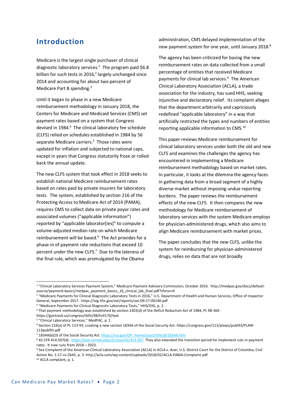## **Introduction**

Medicare is the largest single purchaser of clinical diagnostic laboratory services.<sup>1</sup> The program paid \$6.8 billion for such tests in 2016, <sup>2</sup> largely unchanged since 2014 and accounting for about two percent of Medicare Part B spending.3

Until it began to phase in a new Medicare reimbursement methodology in January 2018, the Centers for Medicare and Medicaid Services (CMS) set payment rates based on a system that Congress devised in 1984.4 The clinical laboratory fee schedule (CLFS) relied on schedules established in 1984 by 56 separate Medicare carriers.<sup>5</sup> Those rates were updated for inflation and subjected to national caps, except in years that Congress statutorily froze or rolled back the annual update.

The new CLFS system that took effect in 2018 seeks to establish national Medicare reimbursement rates based on rates paid by private insurers for laboratory tests. The system, established by section 216 of the Protecting Access to Medicare Act of 2014 (PAMA), requires CMS to collect data on private payor rates and associated volumes ("applicable information") reported by "applicable laborator[ies]" to compute a volume-adjusted median rate on which Medicare reimbursement will be based.<sup>6</sup> The Act provides for a phase-in of payment rate reductions that exceed 10 percent under the new CLFS.<sup>7</sup> Due to the lateness of the final rule, which was promulgated by the Obama

administration, CMS delayed implementation of the new payment system for one year, until January 2018.<sup>8</sup>

The agency has been criticized for basing the new reimbursement rates on data collected from a small percentage of entities that received Medicare payments for clinical lab services.<sup>9</sup> The American Clinical Laboratory Association (ACLA), a trade association for the industry, has sued HHS, seeking injunctive and declaratory relief. Its complaint alleges that the department arbitrarily and capriciously redefined "applicable laboratory" in a way that artificially restricted the types and numbers of entities reporting applicable information to CMS.10

This paper reviews Medicare reimbursement for clinical laboratory services under both the old and new CLFS and examines the challenges the agency has encountered in implementing a Medicare reimbursement methodology based on market rates. In particular, it looks at the dilemma the agency faces in gathering data from a broad segment of a highly diverse market without imposing undue reporting burdens. The paper reviews the reimbursement effects of the new CLFS. It then compares the new methodology for Medicare reimbursement of laboratory services with the system Medicare employs for physician-administered drugs, which also aims to align Medicare reimbursement with market prices.

The paper concludes that the new CLFS, unlike the system for reimbursing for physician-administered drugs, relies on data that are not broadly

<sup>1</sup> "Clinical Laboratory Services Payment System," Medicare Payment Advisory Commission, October 2016. http://medpac.gov/docs/defaultsource/payment-basics/medpac\_payment\_basics\_16\_clinical\_lab\_final.pdf?sfvrsn=0

<sup>&</sup>lt;sup>2</sup> "Medicare Payments for Clinical Diagnostic Laboratory Tests in 2016," U.S. Department of Health and Human Services, Office of Inspector General, September 2017. https://oig.hhs.gov/oei/reports/oei-09-17-00140.pdf

<sup>&</sup>lt;sup>3</sup> "Medicare Payments for Clinical Diagnostic Laboratory Tests," HHS/OIG, p. 2.

<sup>4</sup> That payment methodology was established by section 2303(d) of the Deficit Reduction Act of 1984, PL 98-369.

https://govtrack.us/congress/bills/98/hr4170/text

<sup>5</sup> "Clinical Laboratory Services," MedPAC, p. 1.

<sup>6</sup> Section 216(a) of PL 113-93, creating a new section 1834A of the Social Security Act. https://congress.gov/113/plaws/publ93/PLAW-113publ93.pdf

<sup>&</sup>lt;sup>7</sup> 1834A(b)(3) of the Social Security Act. https://ssa.gov/OP\_Home/ssact/title18/1834A.htm<br><sup>8</sup> 42 CFR 414.507(d). https://law.cornell.edu/cfr/text/42/414.507\_They also extended the transition period for implement cuts in rates. It now runs from 2018 – 2023.

<sup>9</sup> See Complaint of the American Clinical Laboratory Association (ACLA) in *ACLA v. Azar*, U.S. District Court for the District of Columbia, Civil Action No. 1:17-cv-2645, p. 3. http://acla.com/wp-content/uploads/2018/02/ACLA-PAMA-Complaint.pdf <sup>10</sup> ACLA complaint, p. 1.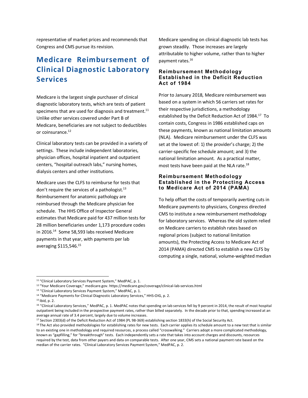representative of market prices and recommends that Congress and CMS pursue its revision.

## **Medicare Reimbursement of Clinical Diagnostic Laboratory Services**

Medicare is the largest single purchaser of clinical diagnostic laboratory tests, which are tests of patient specimens that are used for diagnosis and treatment. $^{11}$ Unlike other services covered under Part B of Medicare, beneficiaries are not subject to deductibles or coinsurance.<sup>12</sup>

Clinical laboratory tests can be provided in a variety of settings. These include independent laboratories, physician offices, hospital inpatient and outpatient centers, "hospital outreach labs," nursing homes, dialysis centers and other institutions.

Medicare uses the CLFS to reimburse for tests that don't require the services of a pathologist. $13$ Reimbursement for anatomic pathology are reimbursed through the Medicare physician fee schedule. The HHS Office of Inspector General estimates that Medicare paid for 437 million tests for 28 million beneficiaries under 1,173 procedure codes in 2016.<sup>14</sup> Some 58,593 labs received Medicare payments in that year, with payments per lab averaging \$115,546.15

Medicare spending on clinical diagnostic lab tests has grown steadily. Those increases are largely attributable to higher volume, rather than to higher payment rates.16

#### **Reimbursement Methodology Established in the Deficit Reduction Act of 1984**

Prior to January 2018, Medicare reimbursement was based on a system in which 56 carriers set rates for their respective jurisdictions, a methodology established by the Deficit Reduction Act of 1984.<sup>17</sup> To contain costs, Congress in 1986 established caps on these payments, known as national limitation amounts (NLA). Medicare reimbursement under the CLFS was set at the lowest of: 1) the provider's charge; 2) the carrier-specific fee schedule amount; and 3) the national limitation amount. As a practical matter, most tests have been paid at the NLA rate.<sup>18</sup>

#### **Reimbursement Methodology Established in the Protecting Access to Medicare Act of 2014 (PAMA)**

To help offset the costs of temporarily averting cuts in Medicare payments to physicians, Congress directed CMS to institute a new reimbursement methodology for laboratory services. Whereas the old system relied on Medicare carriers to establish rates based on regional prices (subject to national limitation amounts), the Protecting Access to Medicare Act of 2014 (PAMA) directed CMS to establish a new CLFS by computing a single, national, volume-weighted median

<sup>&</sup>lt;sup>11</sup> "Clinical Laboratory Services Payment System," MedPAC, p. 1.

<sup>12</sup> "Your Medicare Coverage," medicare.gov. https://medicare.gov/coverage/clinical-lab-services.html

<sup>&</sup>lt;sup>13</sup> "Clinical Laboratory Services Payment System," MedPAC, p. 1.

<sup>&</sup>lt;sup>14</sup> "Medicare Payments for Clinical Diagnostic Laboratory Services," HHS-OIG, p. 2.

<sup>15</sup> Ibid, p. 2.

<sup>&</sup>lt;sup>16</sup> "Clinical Laboratory Services," MedPAC, p. 1. MedPAC notes that spending on lab services fell by 9 percent in 2014, the result of most hospital outpatient being included in the prospective payment rates, rather than billed separately. In the decade prior to that, spending increased at an average annual rate of 3.4 percent, largely due to volume increases.

<sup>17</sup> Section 2303(d) of the Deficit Reduction Act of 1984 (PL 98-369) establishing section 1833(h) of the Social Security Act.

<sup>&</sup>lt;sup>18</sup> The Act also provided methodologies for establishing rates for new tests. Each carrier applies its schedule amount to a new test that is similar to an existing one in methodology and required resources, a process called "crosswalking." Carriers adopt a more complicated methodology, known as "gapfilling," for "breakthrough" tests. Each independently sets a rate that takes into account charges and discounts, resources required by the test, data from other payers and data on comparable tests. After one year, CMS sets a national payment rate based on the median of the carrier rates. "Clinical Laboratory Services Payment System," MedPAC, p. 2.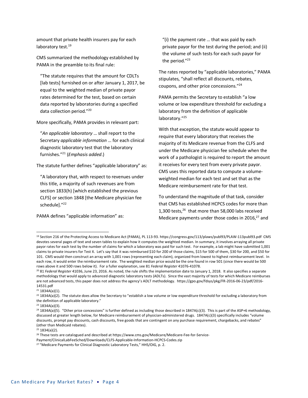amount that private health insurers pay for each laboratory test.<sup>19</sup>

CMS summarized the methodology established by PAMA in the preamble to its final rule:

"The statute requires that the amount for CDLTs [lab tests] furnished on or after January 1, 2017, be equal to the weighted median of private payor rates determined for the test, based on certain data reported by laboratories during a specified data collection period."20

More specifically, PAMA provides in relevant part:

"*An applicable laboratory* … shall report to the Secretary *applicable information* … for each clinical diagnostic laboratory test that the laboratory furnishes."21 (*Emphasis added*.)

The statute further defines "applicable laboratory" as:

"A laboratory that, with respect to revenues under this title, a majority of such revenues are from section 1833(h) [which established the previous CLFS] or section 1848 [the Medicare physician fee schedule]."<sup>22</sup>

PAMA defines "applicable information" as:

"(i) the payment rate … that was paid by each private payor for the test during the period; and (ii) the volume of such tests for each such payor for the period."23

The rates reported by "applicable laboratories," PAMA stipulates, "shall reflect all discounts, rebates, coupons, and other price concessions."24

PAMA permits the Secretary to establish "a low volume or low expenditure threshold for excluding a laboratory from the definition of applicable laboratory."25

With that exception, the statute would appear to require that every laboratory that receives the majority of its Medicare revenue from the CLFS and under the Medicare physician fee schedule when the work of a pathologist is required to report the amount it receives for every test from every private payor. CMS uses this reported data to compute a volumeweighted median for each test and set that as the Medicare reimbursement rate for that test.

To understand the magnitude of that task, consider that CMS has established HCPCS codes for more than 1,300 tests,26 that more than 58,000 labs received Medicare payments under those codes in 2016, $27$  and

<sup>19</sup> Section 216 of the Protecting Access to Medicare Act (PAMA), PL 113-93. https://congress.gov/113/plaws/publ93/PLAW-113publ93.pdf CMS devotes several pages of text and seven tables to explain how it computes the weighted median. In summary, it involves arraying all private payor rates for each test by the number of claims for which a laboratory was paid for such test. For example, a lab might have submitted 1,001 claims to private insurers for Test X. Let's say that it was reimbursed \$10 for 200 of those claims, \$15 for 500 of them, \$30 for 200, and \$50 for 101. CMS would then construct an array with 1,001 rows (representing each claim), organized from lowest to highest reimbursement level. In each row, it would enter the reimbursement rate. The weighted median price would be the one found in row 501 (since there would be 500 rows above it and 500 rows below it). For a fuller explanation, see 81 *Federal Register* 41076-41078.

<sup>20</sup> 81 *Federal Register* 41036, June 23, 2016. As noted, the rule shifts the implementation date to January 1, 2018. It also specifies a separate methodology that would apply to advanced diagnostic laboratory tests (ADLTs). Since the vast majority of tests for which Medicare reimburses are not advanced tests, this paper does not address the agency's ADLT methodology. https://gpo.gov/fdsys/pkg/FR-2016-06-23/pdf/2016- 14531.pdf

 $21$  1834A(a)(1).

 $^{22}$  1834A(a)(2). The statute does allow the Secretary to "establish a low volume or low expenditure threshold for excluding a laboratory from the definition of applicable laboratory."

<sup>23</sup> 1834A(a)(3).

 $^{24}$  1834A(a)(5). "Other price concessions" is further defined as including those described in 1847A(c)(3). This is part of the ASP+6 methodology, discussed at greater length below, for Medicare reimbursement of physician-administered drugs. 1847A(c)(3) specifically includes "volume discounts, prompt pay discounts, cash discounts, free goods that are contingent on any purchase requirement, chargebacks, and rebates" (other than Medicaid rebates).

 $25$  1834(a)(2).

<sup>&</sup>lt;sup>26</sup> These tests are catalogued and described at https://www.cms.gov/Medicare/Medicare-Fee-for-Service-

Payment/ClinicalLabFeeSched/Downloads/CLFS-Applicable-Information-HCPCS-Codes.zip

<sup>&</sup>lt;sup>27</sup> "Medicare Payments for Clinical Diagnostic Laboratory Tests," HHS/OIG, p. 2.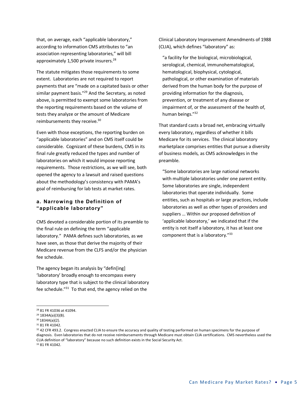that, on average, each "applicable laboratory," according to information CMS attributes to "an association representing laboratories," will bill approximately 1,500 private insurers.<sup>28</sup>

The statute mitigates those requirements to some extent. Laboratories are not required to report payments that are "made on a capitated basis or other similar payment basis."<sup>29</sup> And the Secretary, as noted above, is permitted to exempt some laboratories from the reporting requirements based on the volume of tests they analyze or the amount of Medicare reimbursements they receive.<sup>30</sup>

Even with those exceptions, the reporting burden on "applicable laboratories" and on CMS itself could be considerable. Cognizant of these burdens, CMS in its final rule greatly reduced the types and number of laboratories on which it would impose reporting requirements. Those restrictions, as we will see, both opened the agency to a lawsuit and raised questions about the methodology's consistency with PAMA's goal of reimbursing for lab tests at market rates.

#### **a. Narrowing the Definition of "applicable laboratory"**

CMS devoted a considerable portion of its preamble to the final rule on defining the term "applicable laboratory." PAMA defines such laboratories, as we have seen, as those that derive the majority of their Medicare revenue from the CLFS and/or the physician fee schedule.

The agency began its analysis by "defin[ing] 'laboratory' broadly enough to encompass every laboratory type that is subject to the clinical laboratory fee schedule."31 To that end, the agency relied on the

Clinical Laboratory Improvement Amendments of 1988 (CLIA), which defines "laboratory" as:

"a facility for the biological, microbiological, serological, chemical, immunohematological, hematological, biophysical, cytological, pathological, or other examination of materials derived from the human body for the purpose of providing information for the diagnosis, prevention, or treatment of any disease or impairment of, or the assessment of the health of, human beings."32

That standard casts a broad net, embracing virtually every laboratory, regardless of whether it bills Medicare for its services. The clinical laboratory marketplace comprises entities that pursue a diversity of business models, as CMS acknowledges in the preamble.

"Some laboratories are large national networks with multiple laboratories under one parent entity. Some laboratories are single, independent laboratories that operate individually. Some entities, such as hospitals or large practices, include laboratories as well as other types of providers and suppliers … Within our proposed definition of 'applicable laboratory,' we indicated that if the entity is not itself a laboratory, it has at least one component that is a laboratory."33

<sup>28</sup> 81 FR 41036 at 41094.

<sup>29</sup> 1834A(a)(3)(B).

<sup>30</sup> 1834A(a)(2).

<sup>31</sup> 81 FR 41042.

 $32$  42 CFR 493.2. Congress enacted CLIA to ensure the accuracy and quality of testing performed on human specimens for the purpose of diagnosis. Even laboratories that do not receive reimbursements through Medicare must obtain CLIA certifications. CMS nevertheless used the CLIA definition of "laboratory" because no such definition exists in the Social Security Act. <sup>33</sup> 81 FR 41042.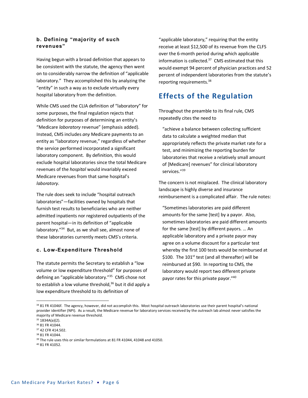#### **b. Defining "majority of such revenues"**

Having begun with a broad definition that appears to be consistent with the statute, the agency then went on to considerably narrow the definition of "applicable laboratory." They accomplished this by analyzing the "entity" in such a way as to exclude virtually every hospital laboratory from the definition.

While CMS used the CLIA definition of "laboratory" for some purposes, the final regulation rejects that definition for purposes of determining an entity's "Medicare *laboratory* revenue" (emphasis added). Instead, CMS includes *any* Medicare payments to an entity as "laboratory revenue," regardless of whether the service performed incorporated a significant laboratory component. By definition, this would exclude hospital laboratories since the total Medicare revenues of the *hospital* would invariably exceed Medicare revenues from that same hospital's *laboratory*.

The rule does seek to include "hospital outreach laboratories"—facilities owned by hospitals that furnish test results to beneficiaries who are neither admitted inpatients nor registered outpatients of the parent hospital—in its definition of "applicable laboratory."34 But, as we shall see, almost none of these laboratories currently meets CMS's criteria.

#### **c. Low-Expenditure Threshold**

The statute permits the Secretary to establish a "low volume or low expenditure threshold" for purposes of defining an "applicable laboratory."35 CMS chose not to establish a low volume threshold, $36$  but it did apply a low expenditure threshold to its definition of

"applicable laboratory," requiring that the entity receive at least \$12,500 of its revenue from the CLFS over the 6-month period during which applicable information is collected.37 CMS estimated that this would exempt 94 percent of physician practices and 52 percent of independent laboratories from the statute's reporting requirements.38

## **Effects of the Regulation**

Throughout the preamble to its final rule, CMS repeatedly cites the need to

"achieve a balance between collecting sufficient data to calculate a weighted median that appropriately reflects the private market rate for a test, and minimizing the reporting burden for laboratories that receive a relatively small amount of [Medicare] revenues" for clinical laboratory services."<sup>39</sup>

The concern is not misplaced. The clinical laboratory landscape is highly diverse and insurance reimbursement is a complicated affair. The rule notes:

"Sometimes laboratories are paid different amounts for the same [test] by a payor. Also, sometimes laboratories are paid different amounts for the same [test] by different payors. … An applicable laboratory and a private payor may agree on a volume discount for a particular test whereby the first 100 tests would be reimbursed at \$100. The  $101<sup>st</sup>$  test (and all thereafter) will be reimbursed at \$90. In reporting to CMS, the laboratory would report two different private payor rates for this private payor."40

<sup>35</sup> 1834A(a)(2).

-

<sup>34 81</sup> FR 41046f. The agency, however, did not accomplish this. Most hospital outreach laboratories use their parent hospital's national provider identifier (NPI). As a result, the Medicare revenue for laboratory services received by the outreach lab almost never satisfies the majority of Medicare revenue threshold.

<sup>36</sup> 81 FR 41044.

<sup>37</sup> 42 CFR 414.502.

<sup>38</sup> 81 FR 41044.

<sup>&</sup>lt;sup>39</sup> The rule uses this or similar formulations at 81 FR 41044, 41048 and 41050.

<sup>40</sup> 81 FR 41052.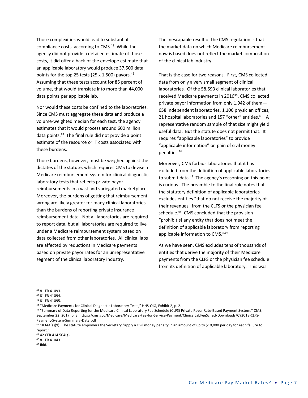Those complexities would lead to substantial compliance costs, according to CMS.<sup>41</sup> While the agency did not provide a detailed estimate of those costs, it did offer a back-of-the envelope estimate that an applicable laboratory would produce 37,500 data points for the top 25 tests (25 x 1,500) payors. $42$ Assuming that these tests account for 85 percent of volume, that would translate into more than 44,000 data points per applicable lab.

Nor would these costs be confined to the laboratories. Since CMS must aggregate these data and produce a volume-weighted median for each test, the agency estimates that it would process around 600 million data points.43 The final rule did not provide a point estimate of the resource or IT costs associated with these burdens.

Those burdens, however, must be weighed against the dictates of the statute, which requires CMS to devise a Medicare reimbursement system for clinical diagnostic laboratory tests that reflects private payor reimbursements in a vast and variegated marketplace. Moreover, the burdens of getting that reimbursement wrong are likely greater for many clinical laboratories than the burdens of reporting private insurance reimbursement data. Not all laboratories are required to report data, but all laboratories are required to live under a Medicare reimbursement system based on data collected from other laboratories. All clinical labs are affected by reductions in Medicare payments based on private payor rates for an unrepresentative segment of the clinical laboratory industry.

The inescapable result of the CMS regulation is that the market data on which Medicare reimbursement now is based does not reflect the market composition of the clinical lab industry.

That is the case for two reasons. First, CMS collected data from only a very small segment of clinical laboratories. Of the 58,593 clinical laboratories that received Medicare payments in 2016<sup>44</sup>, CMS collected private payor information from only 1,942 of them— 658 independent laboratories, 1,106 physician offices, 21 hospital laboratories and 157 "other" entities.<sup>45</sup> A representative random sample of that size might yield useful data. But the statute does not permit that. It requires "applicable laboratories" to provide "applicable information" on pain of civil money penalties.46

Moreover, CMS forbids laboratories that it has excluded from the definition of applicable laboratories to submit data.<sup>47</sup> The agency's reasoning on this point is curious. The preamble to the final rule notes that the statutory definition of applicable laboratories excludes entities "that do not receive the majority of their revenues" from the CLFS or the physician fee schedule.<sup>48</sup> CMS concluded that the provision "prohibit[s] any entity that does not meet the definition of applicable laboratory from reporting applicable information to CMS."49

As we have seen, CMS excludes tens of thousands of entities that derive the majority of their Medicare payments from the CLFS or the physician fee schedule from its definition of applicable laboratory. This was

<sup>41</sup> 81 FR 41093.

<sup>42</sup> 81 FR 41094.

<sup>43</sup> 81 FR 41095.

<sup>44</sup> "Medicare Payments for Clinical Diagnostic Laboratory Tests," HHS-OIG, Exhibit 2, p. 2.

<sup>45</sup> "Summary of Data Reporting for the Medicare Clinical Laboratory Fee Schedule (CLFS) Private Payor Rate-Based Payment System," CMS, September 22, 2017, p. 3. https://cms.gov/Medicare/Medicare-Fee-for-Service-Payment/ClinicalLabFeeSched/Downloads/CY2018-CLFS-Payment-System-Summary-Data.pdf<br><sup>46</sup> 1834A(a)(9). The statute empowers the Secretary "apply a civil money penalty in an amount of up to \$10,000 per day for each failure to

report."

<sup>47</sup> 42 CFR 414.504(g).

<sup>48</sup> 81 FR 41043.

<sup>49</sup> Ibid.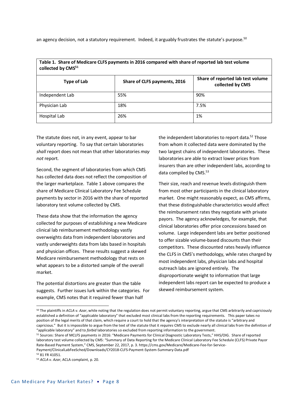an agency decision, not a statutory requirement. Indeed, it arguably frustrates the statute's purpose.<sup>50</sup>

| Table 1. Share of Medicare CLFS payments in 2016 compared with share of reported lab test volume<br>collected by CMS <sup>51</sup> |                              |                                                       |  |  |  |
|------------------------------------------------------------------------------------------------------------------------------------|------------------------------|-------------------------------------------------------|--|--|--|
| <b>Type of Lab</b>                                                                                                                 | Share of CLFS payments, 2016 | Share of reported lab test volume<br>collected by CMS |  |  |  |
| Independent Lab                                                                                                                    | 55%                          | 90%                                                   |  |  |  |
| Physician Lab                                                                                                                      | 18%                          | 7.5%                                                  |  |  |  |
| Hospital Lab                                                                                                                       | 26%                          | 1%                                                    |  |  |  |

**Table 1. Share of Medicare CLFS payments in 2016 compared with share of reported lab test volume** 

The statute does not, in any event, appear to bar voluntary reporting. To say that certain laboratories *shall* report does not mean that other laboratories *may not* report.

Second, the segment of laboratories from which CMS has collected data does not reflect the composition of the larger marketplace. Table 1 above compares the share of Medicare Clinical Laboratory Fee Schedule payments by sector in 2016 with the share of reported laboratory test volume collected by CMS.

These data show that the information the agency collected for purposes of establishing a new Medicare clinical lab reimbursement methodology vastly overweights data from independent laboratories and vastly underweights data from labs based in hospitals and physician offices. These results suggest a skewed Medicare reimbursement methodology that rests on what appears to be a distorted sample of the overall market.

The potential distortions are greater than the table suggests. Further issues lurk within the categories. For example, CMS notes that it required fewer than half

the independent laboratories to report data.<sup>52</sup> Those from whom it collected data were dominated by the two largest chains of independent laboratories. These laboratories are able to extract lower prices from insurers than are other independent labs, according to data compiled by CMS.<sup>53</sup>

Their size, reach and revenue levels distinguish them from most other participants in the clinical laboratory market. One might reasonably expect, as CMS affirms, that these distinguishable characteristics would affect the reimbursement rates they negotiate with private payors. The agency acknowledges, for example, that clinical laboratories offer price concessions based on volume. Large independent labs are better positioned to offer sizable volume-based discounts than their competitors. These discounted rates heavily influence the CLFS in CMS's methodology, while rates charged by most independent labs, physician labs and hospital outreach labs are ignored entirely. The disproportionate weight to information that large independent labs report can be expected to produce a skewed reimbursement system.

<sup>50</sup> The plaintiffs in *ACLA v. Azar*, while noting that the regulation does not permit voluntary reporting, argue that CMS arbitrarily and capriciously established a definition of "applicable laboratory" that excluded most clinical labs from the reporting requirements. This paper takes no position of the legal merits of that claim, which require a court to hold that the agency's interpretation of the statute is "arbitrary and capricious." But it is impossible to argue from the text of the statute that it *requires* CMS to exclude nearly all clinical labs from the definition of "applicable laboratory" and to *forbid* laboratories so excluded from reporting information to the government.

<sup>51</sup> Sources: Share of MCLFS payments in 2016: "Medicare Payments for Clinical Diagnostic Laboratory Tests," HHS/OIG. Share of reported laboratory test volume collected by CMS: "Summary of Data Reporting for the Medicare Clinical Laboratory Fee Schedule (CLFS) Private Payor Rate-Based Payment System," CMS, September 22, 2017, p. 3. https://cms.gov/Medicare/Medicare-Fee-for-Service-Payment/ClinicalLabFeeSched/Downloads/CY2018-CLFS-Payment-System-Summary-Data.pdf

<sup>52</sup> 81 FR 41051.

<sup>53</sup> *ACLA v. Azar*, ACLA complaint, p. 20.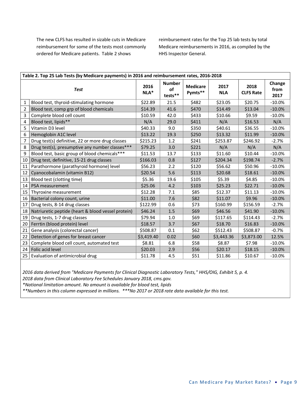The new CLFS has resulted in sizable cuts in Medicare reimbursement for some of the tests most commonly ordered for Medicare patients. Table 2 shows

reimbursement rates for the Top 25 lab tests by total Medicare reimbursements in 2016, as compiled by the HHS Inspector General.

| Table 2. Top 25 Lab Tests (by Medicare payments) in 2016 and reimbursement rates, 2016-2018 |                                                    |              |                                  |                            |                    |                          |                        |
|---------------------------------------------------------------------------------------------|----------------------------------------------------|--------------|----------------------------------|----------------------------|--------------------|--------------------------|------------------------|
| <b>Test</b>                                                                                 |                                                    | 2016<br>NLA* | <b>Number</b><br>of<br>$tests**$ | <b>Medicare</b><br>Pymts** | 2017<br><b>NLA</b> | 2018<br><b>CLFS Rate</b> | Change<br>from<br>2017 |
| $\mathbf{1}$                                                                                | Blood test, thyroid-stimulating hormone            | \$22.89      | 21.5                             | \$482                      | \$23.05            | \$20.75                  | $-10.0%$               |
| $\overline{2}$                                                                              | Blood test, comp grp of blood chemicals            | \$14.39      | 41.6                             | \$470                      | \$14.49            | \$13.04                  | $-10.0%$               |
| 3                                                                                           | Complete blood cell count                          | \$10.59      | 42.0                             | \$433                      | \$10.66            | \$9.59                   | $-10.0%$               |
| 4                                                                                           | Blood test, lipids**                               | N/A          | 29.0                             | \$411                      | N/A                | \$16.53                  | N/A                    |
| 5                                                                                           | Vitamin D3 level                                   | \$40.33      | 9.0                              | \$350                      | \$40.61            | \$36.55                  | $-10.0%$               |
| 6                                                                                           | Hemoglobin A1C level                               | \$13.22      | 19.3                             | \$250                      | \$13.32            | \$11.99                  | $-10.0%$               |
| 7                                                                                           | Drug test(s) definitive, 22 or more drug classes   | \$215.23     | 1.2                              | \$241                      | \$253.87           | \$246.92                 | $-2.7%$                |
| 8                                                                                           | Drug test(s), presumptive any number classes***    | \$79.25      | 3.0                              | \$221                      | N/A                | N/A                      | N/A                    |
| 9                                                                                           | Blood test, basic group of blood chemicals***      | \$11.53      | 13.7                             | \$133                      | \$11.60            | \$10.44                  | $-10.0%$               |
| 10                                                                                          | Drug test, definitive, 15-21 drug classes          | \$166.03     | 0.8                              | \$127                      | \$204.34           | \$198.74                 | $-2.7%$                |
| 11                                                                                          | Parathormone (parathyroid hormone) level           | \$56.23      | 2.2                              | \$120                      | \$56.62            | \$50.96                  | $-10.0%$               |
| 12                                                                                          | Cyanocobalamin (vitamin B12)                       | \$20.54      | 5.6                              | \$113                      | \$20.68            | \$18.61                  | $-10.0%$               |
| 13                                                                                          | Blood test (clotting time)                         | \$5.36       | 19.6                             | \$105                      | \$5.39             | \$4.85                   | $-10.0%$               |
| 14                                                                                          | PSA measurement                                    | \$25.06      | 4.2                              | \$103                      | \$25.23            | \$22.71                  | $-10.0%$               |
| 15                                                                                          | Thyroxine measurement                              | \$12.28      | 7.1                              | \$85                       | \$12.37            | \$11.13                  | $-10.0%$               |
| 16                                                                                          | Bacterial colony count, urine                      | \$11.00      | 7.6                              | \$82                       | \$11.07            | \$9.96                   | $-10.0%$               |
| 17                                                                                          | Drug tests, 8-14 drug classes                      | \$122.99     | 0.6                              | \$73                       | \$160.99           | \$156.59                 | $-2.7%$                |
| 18                                                                                          | Natriuretic peptide (heart & blood vessel protein) | \$46.24      | 1.5                              | \$69                       | \$46.56            | \$41.90                  | $-10.0%$               |
| 19                                                                                          | Drug tests, 1-7 drug classes                       | \$79.94      | 1.0                              | \$69                       | \$117.65           | \$114.43                 | $-2.7%$                |
| 20                                                                                          | Ferrtin (blood protein) level                      | \$18.57      | 3.7                              | \$67                       | \$18.70            | \$16.83                  | $-10.0%$               |
| 21                                                                                          | Gene analysis (colorectal cancer)                  | \$508.87     | 0.1                              | \$62                       | \$512.43           | \$508.87                 | $-0.7%$                |
| 22                                                                                          | Detection of genes for breast cancer               | \$3,419.40   | 0.02                             | \$60                       | \$3,443.36         | \$3,873.00               | 12.5%                  |
| 23                                                                                          | Complete blood cell count, automated test          | \$8.81       | 6.8                              | \$58                       | \$8.87             | \$7.98                   | $-10.0%$               |
| 24                                                                                          | Folic acid level                                   | \$20.03      | 2.9                              | \$56                       | \$20.17            | \$18.15                  | $-10.0%$               |
| 25                                                                                          | Evaluation of antimicrobial drug                   | \$11.78      | 4.5                              | \$51                       | \$11.86            | \$10.67                  | $-10.0%$               |

*2016 data derived from "Medicare Payments for Clinical Diagnostic Laboratory Tests," HHS/OIG, Exhibit 5, p. 4.*

*2018 data from Clinical Laboratory Fee Schedules January 2018, cms.gov.*

*\*National limitation amount. No amount is available for blood test, lipids*

*\*\*Numbers in this column expressed in millions. \*\*\*No 2017 or 2018 rate data available for this test.*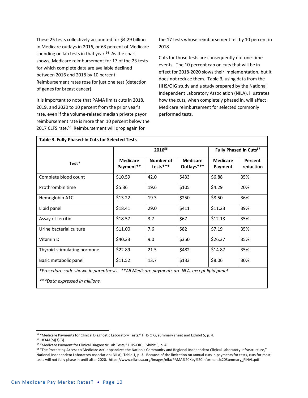These 25 tests collectively accounted for \$4.29 billion in Medicare outlays in 2016, or 63 percent of Medicare spending on lab tests in that year. $54$  As the chart shows, Medicare reimbursement for 17 of the 23 tests for which complete data are available declined between 2016 and 2018 by 10 percent. Reimbursement rates rose for just one test (detection of genes for breast cancer).

It is important to note that PAMA limits cuts in 2018, 2019, and 2020 to 10 percent from the prior year's rate, even if the volume-related median private payor reimbursement rate is more than 10 percent below the 2017 CLFS rate.<sup>55</sup> Reimbursement will drop again for

the 17 tests whose reimbursement fell by 10 percent in 2018.

Cuts for those tests are consequently not one-time events. The 10 percent cap on cuts that will be in effect for 2018-2020 slows their implementation, but it does not reduce them. Table 3, using data from the HHS/OIG study and a study prepared by the National Independent Laboratory Association (NILA), illustrates how the cuts, when completely phased in, will affect Medicare reimbursement for selected commonly performed tests.

|                             | 201656                       |                       |                               | Fully Phased In Cuts <sup>57</sup> |                      |
|-----------------------------|------------------------------|-----------------------|-------------------------------|------------------------------------|----------------------|
| Test*                       | <b>Medicare</b><br>Payment** | Number of<br>tests*** | <b>Medicare</b><br>Outlays*** | <b>Medicare</b><br>Payment         | Percent<br>reduction |
| Complete blood count        | \$10.59                      | 42.0                  | \$433                         | \$6.88                             | 35%                  |
| Prothrombin time            | \$5.36                       | 19.6                  | \$105                         | \$4.29                             | 20%                  |
| Hemoglobin A1C              | \$13.22                      | 19.3                  | \$250                         | \$8.50                             | 36%                  |
| Lipid panel                 | \$18.41                      | 29.0                  | \$411                         | \$11.23                            | 39%                  |
| Assay of ferritin           | \$18.57                      | 3.7                   | \$67                          | \$12.13                            | 35%                  |
| Urine bacterial culture     | \$11.00                      | 7.6                   | \$82                          | \$7.19                             | 35%                  |
| Vitamin D                   | \$40.33                      | 9.0                   | \$350                         | \$26.37                            | 35%                  |
| Thyroid-stimulating hormone | \$22.89                      | 21.5                  | \$482                         | \$14.87                            | 35%                  |
| Basic metabolic panel       | \$11.52                      | 13.7                  | \$133                         | \$8.06                             | 30%                  |

*\*Procedure code shown in parenthesis. \*\*All Medicare payments are NLA, except lipid panel*

*\*\*\*Data expressed in millions.*

<sup>54 &</sup>quot;Medicare Payments for Clinical Diagnostic Laboratory Tests," HHS OIG, summary sheet and Exhibit 5, p. 4.

<sup>55</sup> 1834A(b)(3)(B).

<sup>56</sup> "Medicare Payment for Clinical Diagnostic Lab Tests," HHS-OIG, Exhibit 5, p. 4.

<sup>57 &</sup>quot;The Protecting Access to Medicare Act Jeopardizes the Nation's Community and Regional Independent Clinical Laboratory Infrastructure," National Independent Laboratory Association (NILA), Table 1, p. 3. Because of the limitation on annual cuts in payments for tests, cuts for most tests will not fully phase in until after 2020. https://www.nila-usa.org/images/nila/PAMA%20Key%20Informant%20Summary\_FINAL.pdf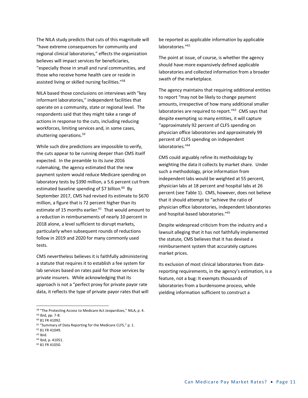The NILA study predicts that cuts of this magnitude will "have extreme consequences for community and regional clinical laboratories," effects the organization believes will impact services for beneficiaries, "especially those in small and rural communities, and those who receive home health care or reside in assisted living or skilled nursing facilities."58

NILA based those conclusions on interviews with "key informant laboratories," independent facilities that operate on a community, state or regional level. The respondents said that they might take a range of actions in response to the cuts, including reducing workforces, limiting services and, in some cases, shuttering operations.59

While such dire predictions are impossible to verify, the cuts appear to be running deeper than CMS itself expected. In the preamble to its June 2016 rulemaking, the agency estimated that the new payment system would reduce Medicare spending on laboratory tests by \$390 million, a 5.6 percent cut from estimated baseline spending of \$7 billion. $60$  By September 2017, CMS had revised its estimate to \$670 million, a figure that is 72 percent higher than its estimate of 15 months earlier.<sup>61</sup> That would amount to a reduction in reimbursements of nearly 10 percent in 2018 alone, a level sufficient to disrupt markets, particularly when subsequent rounds of reductions follow in 2019 and 2020 for many commonly used tests.

CMS nevertheless believes it is faithfully administering a statute that requires it to establish a fee system for lab services based on rates paid for those services by private insurers. While acknowledging that its approach is not a "perfect proxy for private payor rate data, it reflects the type of private payor rates that will

1

- <sup>64</sup> Ibid, p. 41051. <sup>65</sup> 81 FR 41050.
- 

be reported as applicable information by applicable laboratories."<sup>62</sup>

The point at issue, of course, is whether the agency should have more expansively defined applicable laboratories and collected information from a broader swath of the marketplace.

The agency maintains that requiring additional entities to report "may not be likely to change payment amounts, irrespective of how many additional smaller laboratories are required to report."<sup>63</sup> CMS says that despite exempting so many entities, it will capture "approximately 92 percent of CLFS spending on physician office laboratories and approximately 99 percent of CLFS spending on independent laboratories."64

CMS could arguably refine its methodology by weighting the data it collects by market share. Under such a methodology, price information from independent labs would be weighted at 55 percent, physician labs at 18 percent and hospital labs at 26 percent (see Table 1). CMS, however, does not believe that it should attempt to "achieve the ratio of physician office laboratories, independent laboratories and hospital-based laboratories."65

Despite widespread criticism from the industry and a lawsuit alleging that it has not faithfully implemented the statute, CMS believes that it has devised a reimbursement system that accurately captures market prices.

Its exclusion of most clinical laboratories from datareporting requirements, in the agency's estimation, is a feature, not a bug: It exempts thousands of laboratories from a burdensome process, while yielding information sufficient to construct a

<sup>58</sup> "The Protecting Access to Medicare Act Jeopardizes," NILA, p. 4.

<sup>59</sup> Ibid, pp. 7-8. <sup>60</sup> 81 FR 41092.

<sup>&</sup>lt;sup>61</sup> "Summary of Data Reporting for the Medicare CLFS," p. 1.

<sup>62</sup> 81 FR 41049.

<sup>63</sup> Ibid.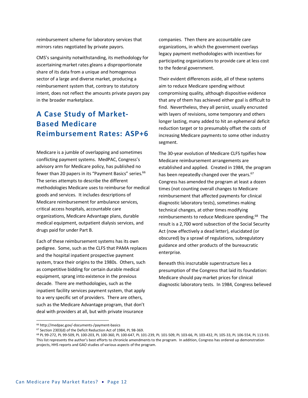reimbursement scheme for laboratory services that mirrors rates negotiated by private payors.

CMS's sanguinity notwithstanding, its methodology for ascertaining market rates gleans a disproportionate share of its data from a unique and homogenous sector of a large and diverse market, producing a reimbursement system that, contrary to statutory intent, does not reflect the amounts private payors pay in the broader marketplace.

## **A Case Study of Market-Based Medicare Reimbursement Rates: ASP+6**

Medicare is a jumble of overlapping and sometimes conflicting payment systems. MedPAC, Congress's advisory arm for Medicare policy, has published no fewer than 20 papers in its "Payment Basics" series.<sup>66</sup> The series attempts to describe the different methodologies Medicare uses to reimburse for medical goods and services. It includes descriptions of Medicare reimbursement for ambulance services, critical access hospitals, accountable care organizations, Medicare Advantage plans, durable medical equipment, outpatient dialysis services, and drugs paid for under Part B.

Each of these reimbursement systems has its own pedigree. Some, such as the CLFS that PAMA replaces and the hospital inpatient prospective payment system, trace their origins to the 1980s. Others, such as competitive bidding for certain durable medical equipment, sprang into existence in the previous decade. There are methodologies, such as the inpatient facility services payment system, that apply to a very specific set of providers. There are others, such as the Medicare Advantage program, that don't deal with providers at all, but with private insurance

companies. Then there are accountable care organizations, in which the government overlays legacy payment methodologies with incentives for participating organizations to provide care at less cost to the federal government.

Their evident differences aside, all of these systems aim to reduce Medicare spending without compromising quality, although dispositive evidence that any of them has achieved either goal is difficult to find. Nevertheless, they all persist, usually encrusted with layers of revisions, some temporary and others longer lasting, many added to hit an ephemeral deficit reduction target or to presumably offset the costs of increasing Medicare payments to some other industry segment.

The 30-year evolution of Medicare CLFS typifies how Medicare reimbursement arrangements are established and applied. Created in 1984, the program has been repeatedly changed over the years.<sup>67</sup> Congress has amended the program at least a dozen times (not counting overall changes to Medicare reimbursement that affected payments for clinical diagnostic laboratory tests), sometimes making technical changes, at other times modifying reimbursements to reduce Medicare spending.<sup>68</sup> The result is a 2,700 word subsection of the Social Security Act (now effectively a dead letter), elucidated (or obscured) by a sprawl of regulations, subregulatory guidance and other products of the bureaucratic enterprise.

Beneath this inscrutable superstructure lies a presumption of the Congress that laid its foundation: Medicare should pay market prices for clinical diagnostic laboratory tests. In 1984, Congress believed

<sup>66</sup> http://medpac.gov/-documents-/payment-basics

<sup>67</sup> Section 2303(d) of the Deficit Reduction Act of 1984, PL 98-369.

<sup>68</sup> PL 99-272, PL 99-509, PL 100-203, PL 100-360, PL 100-647, PL 101-239, PL 101-509, PL 103-66, PL 103-432, PL 105-33, PL 106-554, PL 113-93. This list represents the author's best efforts to chronicle amendments to the program. In addition, Congress has ordered up demonstration projects, HHS reports and GAO studies of various aspects of the program.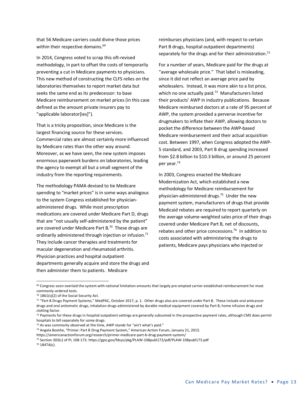that 56 Medicare carriers could divine those prices within their respective domains.<sup>69</sup>

In 2014, Congress voted to scrap this oft-revised methodology, in part to offset the costs of temporarily preventing a cut in Medicare payments to physicians. This new method of constructing the CLFS relies on the laboratories themselves to report market data but seeks the same end as its predecessor: to base Medicare reimbursement on market prices (in this case defined as the amount private insurers pay to "applicable laborator[ies]").

That is a tricky proposition, since Medicare is the largest financing source for these services. Commercial rates are almost certainly more influenced by Medicare rates than the other way around. Moreover, as we have seen, the new system imposes enormous paperwork burdens on laboratories, leading the agency to exempt all but a small segment of the industry from the reporting requirements.

The methodology PAMA devised to tie Medicare spending to "market prices" is in some ways analogous to the system Congress established for physicianadministered drugs. While most prescription medications are covered under Medicare Part D, drugs that are "not usually self-administered by the patient" are covered under Medicare Part B.<sup>70</sup> These drugs are ordinarily administered through injection or infusion.<sup>71</sup> They include cancer therapies and treatments for macular degeneration and rheumatoid arthritis. Physician practices and hospital outpatient departments generally acquire and store the drugs and then administer them to patients. Medicare

reimburses physicians (and, with respect to certain Part B drugs, hospital outpatient departments) separately for the drugs and for their administration.<sup>72</sup>

For a number of years, Medicare paid for the drugs at "average wholesale price." That label is misleading, since it did not reflect an average price paid by wholesalers. Instead, it was more akin to a list price, which no one actually paid.<sup>73</sup> Manufacturers listed their products' AWP in industry publications. Because Medicare reimbursed doctors at a rate of 95 percent of AWP, the system provided a perverse incentive for drugmakers to inflate their AWP, allowing doctors to pocket the difference between the AWP-based Medicare reimbursement and their actual acquisition cost. Between 1997, when Congress adopted the AWP-5 standard, and 2003, Part B drug spending increased from \$2.8 billion to \$10.3 billion, or around 25 percent per year.74

In 2003, Congress enacted the Medicare Modernization Act, which established a new methodology for Medicare reimbursement for physician-administered drugs.75 Under the new payment system, manufacturers of drugs that provide Medicaid rebates are required to report quarterly on the average volume-weighted sales price of their drugs covered under Medicare Part B, net of discounts, rebates and other price concessions.76 In addition to costs associated with administering the drugs to patients, Medicare pays physicians who injected or

 $69$  Congress soon overlaid the system with national limitation amounts that largely pre-empted carrier-established reimbursement for most commonly-ordered tests.

<sup>70</sup> 1861(s)(2) of the Social Security Act.

<sup>71 &</sup>quot;Part B Drugs Payment Systems," MedPAC, October 2017, p. 1. Other drugs also are covered under Part B. These include oral anticancer drugs and oral antiemetic drugs, inhalation drugs administered by durable medical equipment covered by Part B, home infusion drugs and clotting factor.

 $72$  Payments for these drugs in hospital outpatient settings are generally subsumed in the prospective payment rates, although CMS does permit hospitals to bill separately for some drugs.

 $73$  As was commonly observed at the time, AWP stands for "ain't what's paid."

<sup>74</sup> Angela Boothe, "Primer: Part B Drug Payment System," American Action Forum, January 21, 2015.

https://americanactionforum.org/research/primer-medicare-part-b-drug-payment-system/

<sup>75</sup> Section 303(c) of PL 108-173. https://gpo.gov/fdsys/pkg/PLAW-108publ173/pdf/PLAW-108publ173.pdf <sup>76</sup> 1847A(c).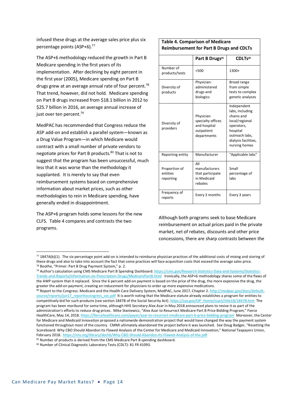infused these drugs at the average sales price plus six percentage points (ASP+6).77

The ASP+6 methodology reduced the growth in Part B Medicare spending in the first years of its implementation. After declining by eight percent in the first year (2005), Medicare spending on Part B drugs grew at an average annual rate of four percent.<sup>78</sup> That trend, however, did not hold. Medicare spending on Part B drugs increased from \$18.1 billion in 2012 to \$25.7 billion in 2016, an average annual increase of just over ten percent.<sup>79</sup>

MedPAC has recommended that Congress reduce the ASP add-on and establish a parallel system—known as a Drug Value Program—in which Medicare would contract with a small number of private vendors to negotiate prices for Part B products.80 That is not to suggest that the program has been unsuccessful, much less that it was worse than the methodology it supplanted. It is merely to say that even reimbursement systems based on comprehensive information about market prices, such as other methodologies to rein in Medicare spending, have generally ended in disappointment.

The ASP+6 program holds some lessons for the new CLFS. Table 4 compares and contrasts the two programs.

| <b>Table 4. Comparison of Medicare</b><br><b>Reimbursement for Part B Drugs and CDLTs</b> |                                                                             |                                                                                                                                                     |  |  |
|-------------------------------------------------------------------------------------------|-----------------------------------------------------------------------------|-----------------------------------------------------------------------------------------------------------------------------------------------------|--|--|
|                                                                                           | Part B Drugs <sup>81</sup>                                                  | CDLT <sub>S82</sub>                                                                                                                                 |  |  |
| Number of<br>products/tests                                                               | < 500                                                                       | 1300+                                                                                                                                               |  |  |
| Diversity of<br>products                                                                  | Physician-<br>administered<br>drugs and<br>biologics                        | Broad range<br>from simple<br>tests to complex<br>genetic analyses                                                                                  |  |  |
| Diversity of<br>providers                                                                 | Physician<br>specialty offices<br>and hospital<br>outpatient<br>departments | Independent<br>labs, including<br>chains and<br>local/regional<br>operators,<br>hospital<br>outreach labs,<br>dialysis facilities,<br>nursing homes |  |  |
| Reporting entity                                                                          | Manufacturer                                                                | "Applicable labs"                                                                                                                                   |  |  |
| Proportion of<br>entities<br>reporting                                                    | AII<br>manufacturers<br>that participate<br>in Medicaid<br>rebates          | Small<br>percentage of<br>labs                                                                                                                      |  |  |
| Frequency of<br>reports                                                                   | Every 3 months                                                              |                                                                                                                                                     |  |  |

Although both programs seek to base Medicare reimbursement on actual prices paid in the private market, net of rebates, discounts and other price concessions, there are sharp contrasts between the

79 Author's calculation using CMS Medicare Part B Spending Dashboard. https://cms.gov/Research-Statistics-Data-and-Systems/Statistics-Trends-and-Reports/Information-on-Prescription-Drugs/MedicarePartB.html Ironically, the ASP+6 methodology shares some of the flaws of the AWP system that it replaced. Since the 6 percent add-on payment is based on the price of the drug, the more expensive the drug, the greater the add-on payment, creating an inducement for physicians to order up more expensive medications.

 $<sup>77</sup>$  1847A(b)(1). The six percentage point add-on is intended to reimburse physician practices of the additional costs of mixing and storing of</sup> these drugs and also to take into account the fact that some practices will face acquisition costs that exceed the average sales price. <sup>78</sup> Boothe, "Primer: Part B Drug Payment System," p. 2.

<sup>80</sup> Report to the Congress: Medicare and the Health Care Delivery System, MedPAC, June 2017, Chapter 2. http://medpac.gov/docs/defaultsource/reports/jun17\_reporttocongress\_sec.pdf It is worth noting that the Medicare statute already establishes a program for entities to competitively bid for such products (see section 1847B of the Social Security Act). https://ssa.gov/OP\_Home/ssact/title18/1847B.htm The program has been moribund for some time, although HHS Secretary Alex Azar in May 2018 announced plans to revive it as part of the administration's efforts to reduce drug prices. Mike Staniewicz, "Alex Azar to Resurrect Medicare Part B Price Bidding Program," Fierce HealthCare, May 14, 2018. https://fiercehealthcare.com/payer/azar-to-resurrect-medicare-part-b-price-bidding-program Moreover, the Center for Medicare and Medicaid Innovation proposed a nationwide demonstration project that would have changed the way the payment system functioned throughout most of the country. CMMI ultimately abandoned the project before it was launched. See Doug Badger, "Resetting the Scoreboard: Why CBO Should Abandon Its Flawed Analysis of the Center for Medicare and Medicaid Innovation," National Taxpayers Union, February 2018. https://ntu.org/library/doclib/Why-CBO-Should-Abandon-Its-Flawed-Analysis-of-the.pdf

 $81$  Number of products is derived from the CMS Medicare Part B spending dashboard.

<sup>82</sup> Number of Clinical Diagnostic Laboratory Tests (CDLT): 81 FR 41093.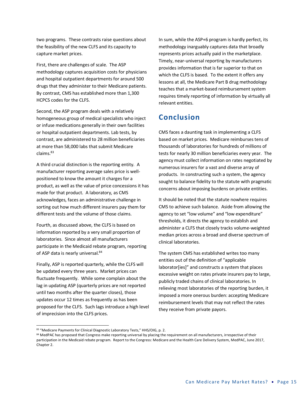two programs. These contrasts raise questions about the feasibility of the new CLFS and its capacity to capture market prices.

First, there are challenges of scale. The ASP methodology captures acquisition costs for physicians and hospital outpatient departments for around 500 drugs that they administer to their Medicare patients. By contrast, CMS has established more than 1,300 HCPCS codes for the CLFS.

Second, the ASP program deals with a relatively homogeneous group of medical specialists who inject or infuse medications generally in their own facilities or hospital outpatient departments. Lab tests, by contrast, are administered to 28 million beneficiaries at more than 58,000 labs that submit Medicare claims.83

A third crucial distinction is the reporting entity. A manufacturer reporting average sales price is wellpositioned to know the amount it charges for a product, as well as the value of price concessions it has made for that product. A laboratory, as CMS acknowledges, faces an administrative challenge in sorting out how much different insurers pay them for different tests and the volume of those claims.

Fourth, as discussed above, the CLFS is based on information reported by a very small proportion of laboratories. Since almost all manufacturers participate in the Medicaid rebate program, reporting of ASP data is nearly universal.<sup>84</sup>

Finally, ASP is reported quarterly, while the CLFS will be updated every three years. Market prices can fluctuate frequently. While some complain about the lag in updating ASP (quarterly prices are not reported until two months after the quarter closes), those updates occur 12 times as frequently as has been proposed for the CLFS. Such lags introduce a high level of imprecision into the CLFS prices.

1

In sum, while the ASP+6 program is hardly perfect, its methodology inarguably captures data that broadly represents prices actually paid in the marketplace. Timely, near-universal reporting by manufacturers provides information that is far superior to that on which the CLFS is based. To the extent it offers any lessons at all, the Medicare Part B drug methodology teaches that a market-based reimbursement system requires timely reporting of information by virtually all relevant entities.

## **Conclusion**

CMS faces a daunting task in implementing a CLFS based on market prices. Medicare reimburses tens of thousands of laboratories for hundreds of millions of tests for nearly 30 million beneficiaries every year. The agency must collect information on rates negotiated by numerous insurers for a vast and diverse array of products. In constructing such a system, the agency sought to balance fidelity to the statute with pragmatic concerns about imposing burdens on private entities.

It should be noted that the statute nowhere requires CMS to achieve such balance. Aside from allowing the agency to set "low volume" and "low expenditure" thresholds, it directs the agency to establish and administer a CLFS that closely tracks volume-weighted median prices across a broad and diverse spectrum of clinical laboratories.

The system CMS has established writes too many entities out of the definition of "applicable laborator[ies]" and constructs a system that places excessive weight on rates private insurers pay to large, publicly traded chains of clinical laboratories. In relieving most laboratories of the reporting burden, it imposed a more onerous burden: accepting Medicare reimbursement levels that may not reflect the rates they receive from private payors.

<sup>83 &</sup>quot;Medicare Payments for Clinical Diagnostic Laboratory Tests," HHS/OIG, p. 2.

<sup>84</sup> MedPAC has proposed that Congress make reporting universal by placing the requirement on all manufacturers, irrespective of their participation in the Medicaid rebate program. Report to the Congress: Medicare and the Health Care Delivery System, MedPAC, June 2017, Chapter 2.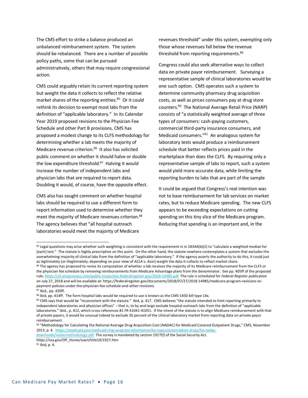The CMS effort to strike a balance produced an unbalanced reimbursement system. The system should be rebalanced. There are a number of possible policy paths, some that can be pursued administratively, others that may require congressional action.

CMS could arguably retain its current reporting system but weight the data it collects to reflect the relative market shares of the reporting entities.<sup>85</sup> Or it could rethink its decision to exempt most labs from the definition of "applicable laboratory." In its Calendar Year 2019 proposed revisions to the Physician Fee Schedule and other Part B provisions, CMS has proposed a modest change to its CLFS methodology for determining whether a lab meets the majority of Medicare revenue criterion.<sup>86</sup> It also has solicited public comment on whether it should halve or double the low expenditure threshold. $87$  Halving it would increase the number of independent labs and physician labs that are required to report data. Doubling it would, of course, have the opposite effect.

CMS also has sought comment on whether hospital labs should be required to use a different form to report information used to determine whether they meet the majority of Medicare revenues criterion.<sup>88</sup> The agency believes that "all hospital outreach laboratories would meet the majority of Medicare

revenues threshold" under this system, exempting only those whose revenues fall below the revenue threshold from reporting requirements.<sup>89</sup>

Congress could also seek alternative ways to collect data on private payor reimbursement. Surveying a representative sample of clinical laboratories would be one such option. CMS operates such a system to determine community pharmacy drug acquisition costs, as well as prices consumers pay at drug store counters.90 The National Average Retail Price (NARP) consists of "a statistically weighted average of three types of consumers: cash-paying customers, commercial third-party insurance consumers, and Medicaid consumers."91 An analogous system for laboratory tests would produce a reimbursement schedule that better reflects prices paid in the marketplace than does the CLFS. By requiring only a representative sample of labs to report, such a system would yield more accurate data, while limiting the reporting burden to labs that are part of the sample

It could be argued that Congress's real intention was not to base reimbursement for lab services on market rates, but to reduce Medicare spending. The new CLFS appears to be exceeding expectations on cutting spending on this tiny slice of the Medicare program. Reducing that spending is an important and, in the

<sup>85</sup> Legal questions may arise whether such weighting is consistent with the requirement in in 1834A(b)(2) to "calculate a weighted median for [each] test." The statute is highly prescriptive on this point. On the other hand, the statute nowhere contemplates a system that excludes the overwhelming majority of clinical labs from the definition of "applicable laboratory." If the agency asserts the authority to do this, it could just as legitimately (or illegitimately, depending on your view of *ACLA v. Azar*) weight the data it collects to reflect market share.

<sup>86</sup> The agency has proposed to revise its computation of whether a lab receives the majority of its Medicare reimbursement from the CLFS or the physician fee schedule by removing reimbursements from Medicare Advantage plans from the denominator. See pp. 405ff of the proposed rule. https://s3.amazonaws.com/public-inspection.federalregister.gov/2018-14985.pdf The rule is scheduled for *Federal Register* publication on July 27, 2018 and will be available at: https://federalregister.gov/documents/2018/07/27/2018-14985/medicare-program-revisions-topayment-policies-under-the-physician-fee-schedule-and-other-revisions

<sup>87</sup> Ibid., pp. 420ff.

<sup>88</sup> Ibid, pp. 414ff. The form hospital labs would be required to use is known as the CMS-1450 bill type 14x.

<sup>89</sup> CMS says that would be "inconsistent with the statute." Ibid, p. 417. CMS believes "the statute intended to limit reporting primarily to independent laboratories and physician offices" – that is, to by and large exclude hospital outreach labs from the definition of "applicable laboratories." Ibid., p. 412, which cross-references 81 FR 41041-41051. If the intent of the statute is to align Medicare reimbursement with that of private payors, it would be unusual indeed to exclude 26 percent of the clinical laboratory market from reporting data on private payor reimbursement.

<sup>90</sup> "Methodology for Calculating the National Average Drug Acquisition Cost (NADAC) for Medicaid Covered Outpatient Drugs," CMS, November 2013, p. 4. https://medicaid.gov/medicaid-chip-program-information/by-topics/prescription-drugs/ful-nadac-

downloads/nadacmethodology.pdf The survey is mandated by section 1927(f) of the Social Security Act. https://ssa.gov/OP\_Home/ssact/title19/1927.htm

<sup>91</sup> Ibid, p. 4.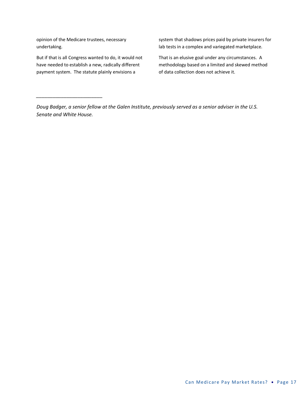opinion of the Medicare trustees, necessary undertaking.

*\_\_\_\_\_\_\_\_\_\_\_\_\_\_\_\_\_\_\_\_\_\_\_\_*

But if that is all Congress wanted to do, it would not have needed to establish a new, radically different payment system. The statute plainly envisions a

system that shadows prices paid by private insurers for lab tests in a complex and variegated marketplace.

That is an elusive goal under any circumstances. A methodology based on a limited and skewed method of data collection does not achieve it.

*Doug Badger, a senior fellow at the Galen Institute, previously served as a senior adviser in the U.S. Senate and White House.*